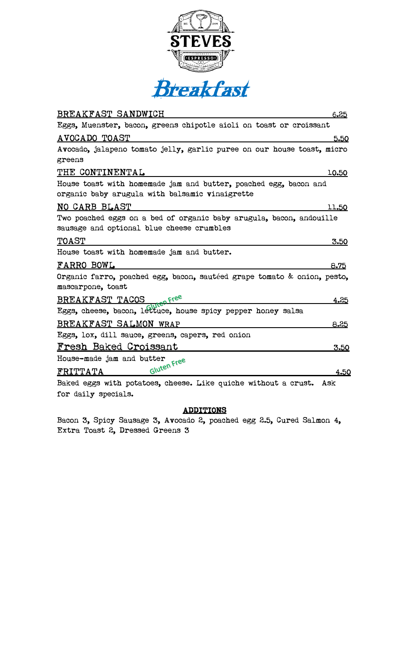



| BREAKFAST SANDWICH<br>6.25                                                                                         |
|--------------------------------------------------------------------------------------------------------------------|
| Eggs, Muenster, bacon, greens chipotle aioli on toast or croissant                                                 |
| AVOCADO TOAST<br>5.50                                                                                              |
| Avocado, jalapeno tomato jelly, garlic puree on our house toast, micro                                             |
| greens                                                                                                             |
| THE CONTINENTAL<br><u>10.50</u>                                                                                    |
| House toast with homemade jam and butter, poached egg, bacon and<br>organic baby arugula with balsamic vinaigrette |
| NO CARB BLAST<br><u>11.50</u>                                                                                      |
| Two poached eggs on a bed of organic baby arugula, bacon, andouille<br>sausage and optional blue cheese crumbles   |
| <b>TOAST</b><br>3.50                                                                                               |
| House toast with homemade jam and butter.                                                                          |
| FARRO BOWL<br>8.75                                                                                                 |
| Organic farro, poached egg, bacon, sautéed grape tomato & onion, pesto,<br>mascarpone, toast                       |
| 4.25                                                                                                               |
| BREAKFAST TACOS <sub>Wite</sub> n Free<br>Eggs, cheese, bacon, lettuce, house spicy pepper honey salsa             |
| BREAKFAST SALMON WRAP<br>8.25                                                                                      |
| Eggs, lox, dill sauce, greens, capers, red onion                                                                   |
| <u>Fresh Baked Croissant</u><br>3.50                                                                               |
| House-made jam and butter                                                                                          |
| Gluten Free<br>FRITTATA<br>4.50                                                                                    |
| Baked eggs with potatoes, cheese. Like quiche without a crust. Ask                                                 |
| for daily specials.                                                                                                |

## ADDITIONS

Bacon 3, Spicy Sausage 3, Avocado 2, poached egg 2.5, Cured Salmon 4, Extra Toast 2, Dressed Greens 3